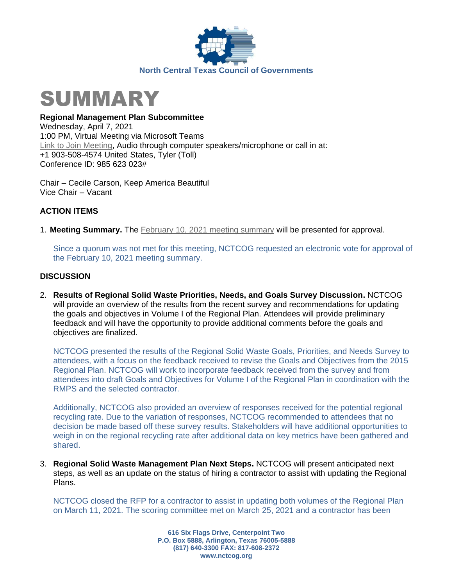



**Regional Management Plan Subcommittee**

Wednesday, April 7, 2021 1:00 PM, Virtual Meeting via Microsoft Teams [Link to Join Meeting,](https://nam12.safelinks.protection.outlook.com/ap/t-59584e83/?url=https%3A%2F%2Fteams.microsoft.com%2Fl%2Fmeetup-join%2F19%253ameeting_MjEwMmY0ZDgtMDhiMS00M2VlLThjYzUtOWIxMmQ0ZTE0YzBi%2540thread.v2%2F0%3Fcontext%3D%257b%2522Tid%2522%253a%25222f5e7ebc-22b0-4fbe-934c-aabddb4e29b1%2522%252c%2522Oid%2522%253a%2522e36755e2-eefa-4b02-b9cc-4498875cd36a%2522%257d&data=04%7C01%7CHAllen%40nctcog.org%7C486918db59ea4e2e796d08d8cf9f0bc0%7C2f5e7ebc22b04fbe934caabddb4e29b1%7C0%7C0%7C637487629293604587%7CUnknown%7CTWFpbGZsb3d8eyJWIjoiMC4wLjAwMDAiLCJQIjoiV2luMzIiLCJBTiI6Ik1haWwiLCJXVCI6Mn0%3D%7C1000&sdata=KyDydjz4jF6og3KtNPTHxlgF%2BeG3vmQmoJst9VfJZiM%3D&reserved=0) Audio through computer speakers/microphone or call in at: +1 903-508-4574 United States, Tyler (Toll) Conference ID: 985 623 023#

Chair – Cecile Carson, Keep America Beautiful Vice Chair – Vacant

## **ACTION ITEMS**

1. **Meeting Summary.** The [February 10, 2021](https://nctcog.org/nctcg/media/Environment-and-Development/Committee%20Documents/RCC-Regional%20Management%20Plan%20Sub/FY2021/2021-02-10-RMPS-Summary.pdf?ext=.pdf) meeting summary will be presented for approval.

Since a quorum was not met for this meeting, NCTCOG requested an electronic vote for approval of the February 10, 2021 meeting summary.

## **DISCUSSION**

2. **Results of Regional Solid Waste Priorities, Needs, and Goals Survey Discussion.** NCTCOG will provide an overview of the results from the recent survey and recommendations for updating the goals and objectives in Volume I of the Regional Plan. Attendees will provide preliminary feedback and will have the opportunity to provide additional comments before the goals and objectives are finalized.

NCTCOG presented the results of the Regional Solid Waste Goals, Priorities, and Needs Survey to attendees, with a focus on the feedback received to revise the Goals and Objectives from the 2015 Regional Plan. NCTCOG will work to incorporate feedback received from the survey and from attendees into draft Goals and Objectives for Volume I of the Regional Plan in coordination with the RMPS and the selected contractor.

Additionally, NCTCOG also provided an overview of responses received for the potential regional recycling rate. Due to the variation of responses, NCTCOG recommended to attendees that no decision be made based off these survey results. Stakeholders will have additional opportunities to weigh in on the regional recycling rate after additional data on key metrics have been gathered and shared.

3. **Regional Solid Waste Management Plan Next Steps.** NCTCOG will present anticipated next steps, as well as an update on the status of hiring a contractor to assist with updating the Regional Plans.

NCTCOG closed the RFP for a contractor to assist in updating both volumes of the Regional Plan on March 11, 2021. The scoring committee met on March 25, 2021 and a contractor has been

> **616 Six Flags Drive, Centerpoint Two P.O. Box 5888, Arlington, Texas 76005-5888 (817) 640-3300 FAX: 817-608-2372 www.nctcog.org**